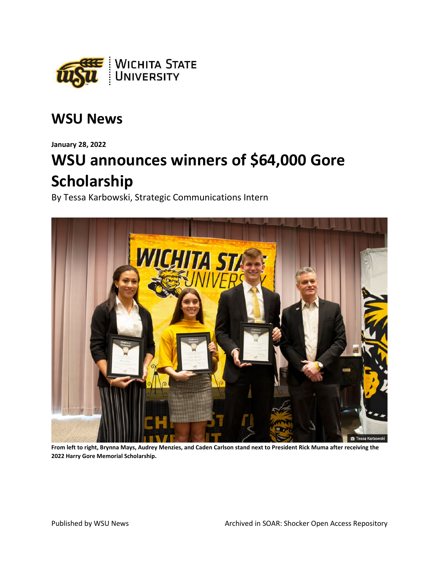

## **WSU News**

**January 28, 2022** 

# WSU announces winners of \$64,000 Gore Scholarship

By Tessa Karbowski, Strategic Communications Intern



From left to right, Brynna Mays, Audrey Menzies, and Caden Carlson stand next to President Rick Muma after receiving the 2022 Harry Gore Memorial Scholarship.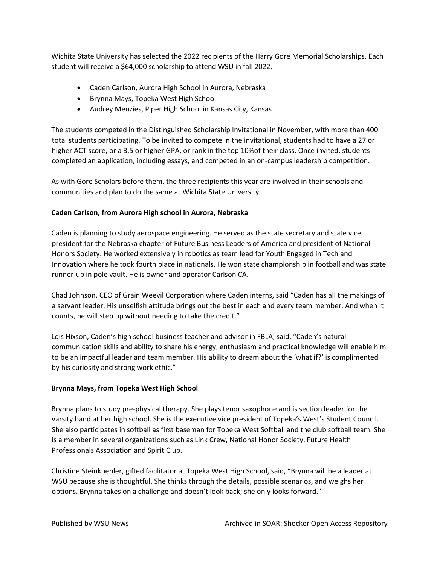Wichita State University has selected the 2022 recipients of the Harry Gore Memorial Scholarships. Each student will receive a \$64,000 scholarship to attend WSU in fall 2022.

- Caden Carlson, Aurora High School in Aurora, Nebraska
- Brynna Mays, Topeka West High School
- Audrey Menzies, Piper High School in Kansas City, Kansas

The students competed in the Distinguished Scholarship Invitational in November, with more than 400 total students participating. To be invited to compete in the invitational, students had to have a 27 or higher ACT score, or a 3.5 or higher GPA, or rank in the top 10%of their class. Once invited, students completed an application, including essays, and competed in an on-campus leadership competition.

As with Gore Scholars before them, the three recipients this year are involved in their schools and communities and plan to do the same at Wichita State University.

### **Caden Carlson, from Aurora High school in Aurora, Nebraska**

Caden is planning to study aerospace engineering. He served as the state secretary and state vice president for the Nebraska chapter of Future Business Leaders of America and president of National Honors Society. He worked extensively in robotics as team lead for Youth Engaged in Tech and Innovation where he took fourth place in nationals. He won state championship in football and was state runner-up in pole vault. He is owner and operator Carlson CA.

Chad Johnson, CEO of Grain Weevil Corporation where Caden interns, said "Caden has all the makings of a servant leader. His unselfish attitude brings out the best in each and every team member. And when it counts, he will step up without needing to take the credit."

Lois Hixson, Caden's high school business teacher and advisor in FBLA, said, "Caden's natural communication skills and ability to share his energy, enthusiasm and practical knowledge will enable him to be an impactful leader and team member. His ability to dream about the 'what if?' is complimented by his curiosity and strong work ethic."

#### **Brynna Mays, from Topeka West High School**

Brynna plans to study pre-physical therapy. She plays tenor saxophone and is section leader for the varsity band at her high school. She is the executive vice president of Topeka's West's Student Council. She also participates in softball as first baseman for Topeka West Softball and the club softball team. She is a member in several organizations such as Link Crew, National Honor Society, Future Health Professionals Association and Spirit Club.

Christine Steinkuehler, gifted facilitator at Topeka West High School, said, "Brynna will be a leader at WSU because she is thoughtful. She thinks through the details, possible scenarios, and weighs her options. Brynna takes on a challenge and doesn't look back; she only looks forward."